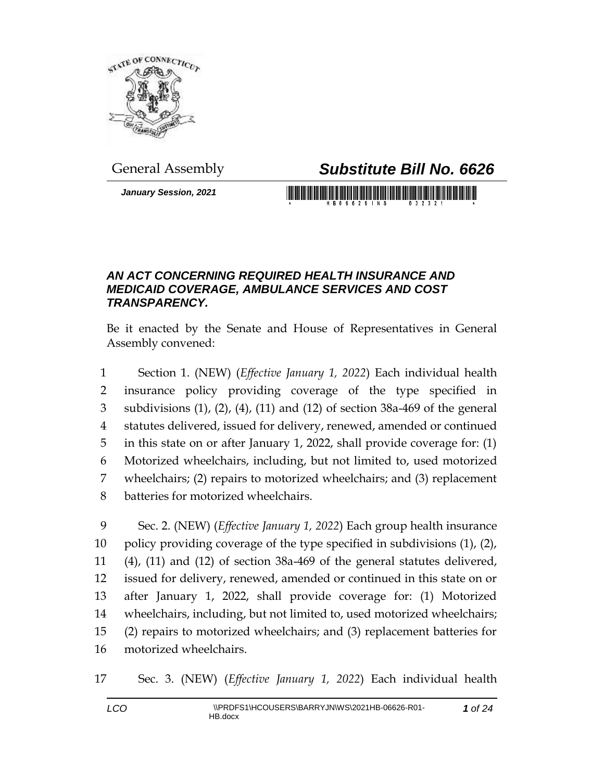

## General Assembly *Substitute Bill No. 6626*

*January Session, 2021*

<u> 1999 - Andrea Maria Maria Andrea Andrea Andrea Andrea Andrea Andrea Andrea Andrea Andrea Andrea Andrea Andrea</u>

## *AN ACT CONCERNING REQUIRED HEALTH INSURANCE AND MEDICAID COVERAGE, AMBULANCE SERVICES AND COST TRANSPARENCY.*

Be it enacted by the Senate and House of Representatives in General Assembly convened:

 Section 1. (NEW) (*Effective January 1, 2022*) Each individual health insurance policy providing coverage of the type specified in subdivisions (1), (2), (4), (11) and (12) of section 38a-469 of the general statutes delivered, issued for delivery, renewed, amended or continued in this state on or after January 1, 2022, shall provide coverage for: (1) Motorized wheelchairs, including, but not limited to, used motorized wheelchairs; (2) repairs to motorized wheelchairs; and (3) replacement batteries for motorized wheelchairs.

 Sec. 2. (NEW) (*Effective January 1, 2022*) Each group health insurance policy providing coverage of the type specified in subdivisions (1), (2), (4), (11) and (12) of section 38a-469 of the general statutes delivered, issued for delivery, renewed, amended or continued in this state on or after January 1, 2022, shall provide coverage for: (1) Motorized wheelchairs, including, but not limited to, used motorized wheelchairs; (2) repairs to motorized wheelchairs; and (3) replacement batteries for motorized wheelchairs.

Sec. 3. (NEW) (*Effective January 1, 2022*) Each individual health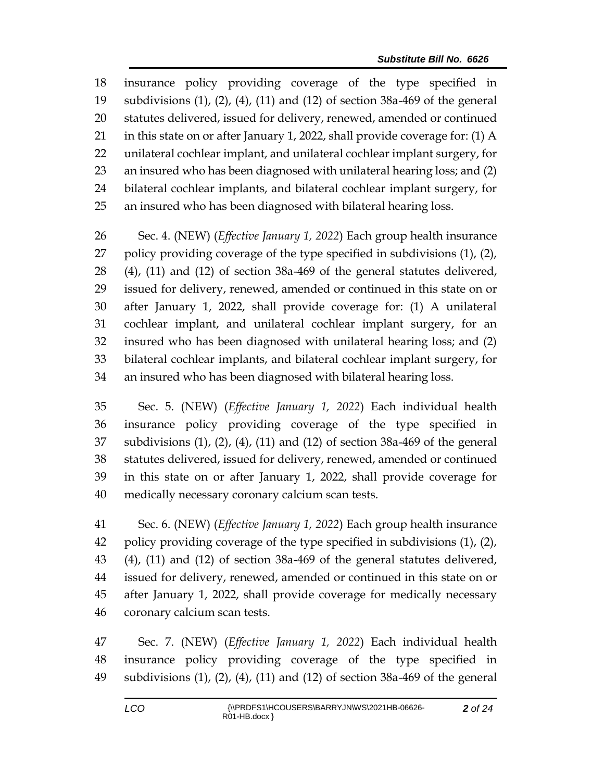insurance policy providing coverage of the type specified in subdivisions (1), (2), (4), (11) and (12) of section 38a-469 of the general statutes delivered, issued for delivery, renewed, amended or continued in this state on or after January 1, 2022, shall provide coverage for: (1) A unilateral cochlear implant, and unilateral cochlear implant surgery, for an insured who has been diagnosed with unilateral hearing loss; and (2) bilateral cochlear implants, and bilateral cochlear implant surgery, for an insured who has been diagnosed with bilateral hearing loss.

 Sec. 4. (NEW) (*Effective January 1, 2022*) Each group health insurance policy providing coverage of the type specified in subdivisions (1), (2), (4), (11) and (12) of section 38a-469 of the general statutes delivered, issued for delivery, renewed, amended or continued in this state on or after January 1, 2022, shall provide coverage for: (1) A unilateral cochlear implant, and unilateral cochlear implant surgery, for an insured who has been diagnosed with unilateral hearing loss; and (2) bilateral cochlear implants, and bilateral cochlear implant surgery, for an insured who has been diagnosed with bilateral hearing loss.

 Sec. 5. (NEW) (*Effective January 1, 2022*) Each individual health insurance policy providing coverage of the type specified in subdivisions (1), (2), (4), (11) and (12) of section 38a-469 of the general statutes delivered, issued for delivery, renewed, amended or continued in this state on or after January 1, 2022, shall provide coverage for medically necessary coronary calcium scan tests.

 Sec. 6. (NEW) (*Effective January 1, 2022*) Each group health insurance policy providing coverage of the type specified in subdivisions (1), (2), (4), (11) and (12) of section 38a-469 of the general statutes delivered, issued for delivery, renewed, amended or continued in this state on or after January 1, 2022, shall provide coverage for medically necessary coronary calcium scan tests.

 Sec. 7. (NEW) (*Effective January 1, 2022*) Each individual health insurance policy providing coverage of the type specified in subdivisions (1), (2), (4), (11) and (12) of section 38a-469 of the general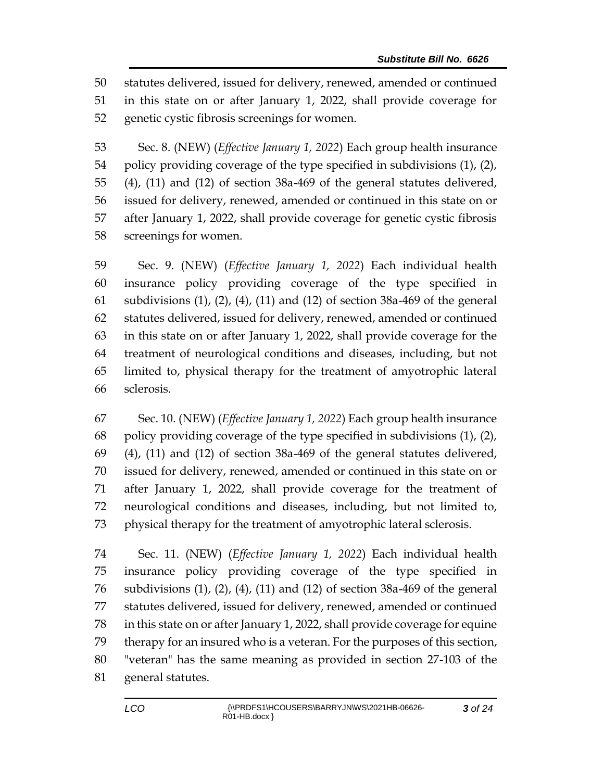statutes delivered, issued for delivery, renewed, amended or continued in this state on or after January 1, 2022, shall provide coverage for genetic cystic fibrosis screenings for women.

 Sec. 8. (NEW) (*Effective January 1, 2022*) Each group health insurance policy providing coverage of the type specified in subdivisions (1), (2), (4), (11) and (12) of section 38a-469 of the general statutes delivered, issued for delivery, renewed, amended or continued in this state on or after January 1, 2022, shall provide coverage for genetic cystic fibrosis screenings for women.

 Sec. 9. (NEW) (*Effective January 1, 2022*) Each individual health insurance policy providing coverage of the type specified in subdivisions (1), (2), (4), (11) and (12) of section 38a-469 of the general statutes delivered, issued for delivery, renewed, amended or continued in this state on or after January 1, 2022, shall provide coverage for the treatment of neurological conditions and diseases, including, but not limited to, physical therapy for the treatment of amyotrophic lateral sclerosis.

 Sec. 10. (NEW) (*Effective January 1, 2022*) Each group health insurance policy providing coverage of the type specified in subdivisions (1), (2), (4), (11) and (12) of section 38a-469 of the general statutes delivered, issued for delivery, renewed, amended or continued in this state on or after January 1, 2022, shall provide coverage for the treatment of neurological conditions and diseases, including, but not limited to, physical therapy for the treatment of amyotrophic lateral sclerosis.

 Sec. 11. (NEW) (*Effective January 1, 2022*) Each individual health insurance policy providing coverage of the type specified in subdivisions (1), (2), (4), (11) and (12) of section 38a-469 of the general statutes delivered, issued for delivery, renewed, amended or continued in this state on or after January 1, 2022, shall provide coverage for equine therapy for an insured who is a veteran. For the purposes of this section, "veteran" has the same meaning as provided in section 27-103 of the general statutes.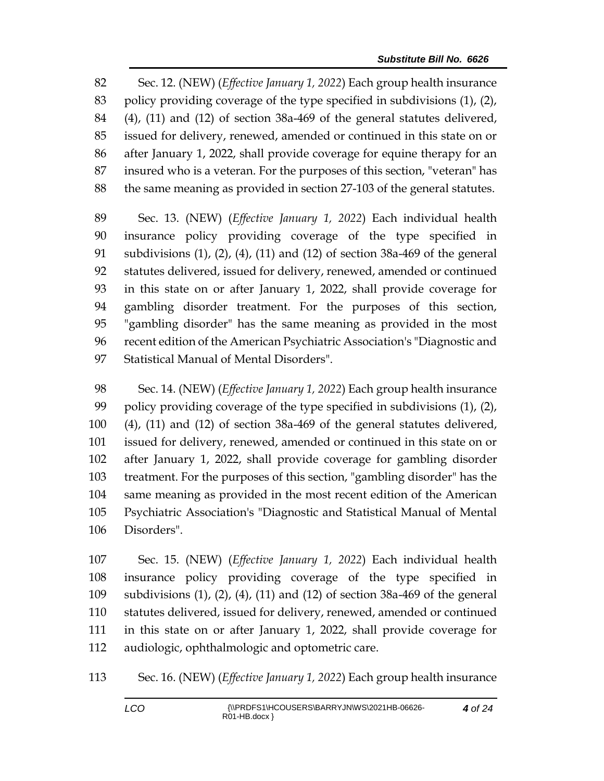Sec. 12. (NEW) (*Effective January 1, 2022*) Each group health insurance policy providing coverage of the type specified in subdivisions (1), (2), (4), (11) and (12) of section 38a-469 of the general statutes delivered, issued for delivery, renewed, amended or continued in this state on or after January 1, 2022, shall provide coverage for equine therapy for an insured who is a veteran. For the purposes of this section, "veteran" has the same meaning as provided in section 27-103 of the general statutes.

 Sec. 13. (NEW) (*Effective January 1, 2022*) Each individual health insurance policy providing coverage of the type specified in subdivisions (1), (2), (4), (11) and (12) of section 38a-469 of the general statutes delivered, issued for delivery, renewed, amended or continued in this state on or after January 1, 2022, shall provide coverage for gambling disorder treatment. For the purposes of this section, "gambling disorder" has the same meaning as provided in the most recent edition of the American Psychiatric Association's "Diagnostic and Statistical Manual of Mental Disorders".

 Sec. 14. (NEW) (*Effective January 1, 2022*) Each group health insurance policy providing coverage of the type specified in subdivisions (1), (2), (4), (11) and (12) of section 38a-469 of the general statutes delivered, issued for delivery, renewed, amended or continued in this state on or after January 1, 2022, shall provide coverage for gambling disorder treatment. For the purposes of this section, "gambling disorder" has the same meaning as provided in the most recent edition of the American Psychiatric Association's "Diagnostic and Statistical Manual of Mental Disorders".

 Sec. 15. (NEW) (*Effective January 1, 2022*) Each individual health insurance policy providing coverage of the type specified in subdivisions (1), (2), (4), (11) and (12) of section 38a-469 of the general statutes delivered, issued for delivery, renewed, amended or continued in this state on or after January 1, 2022, shall provide coverage for audiologic, ophthalmologic and optometric care.

Sec. 16. (NEW) (*Effective January 1, 2022*) Each group health insurance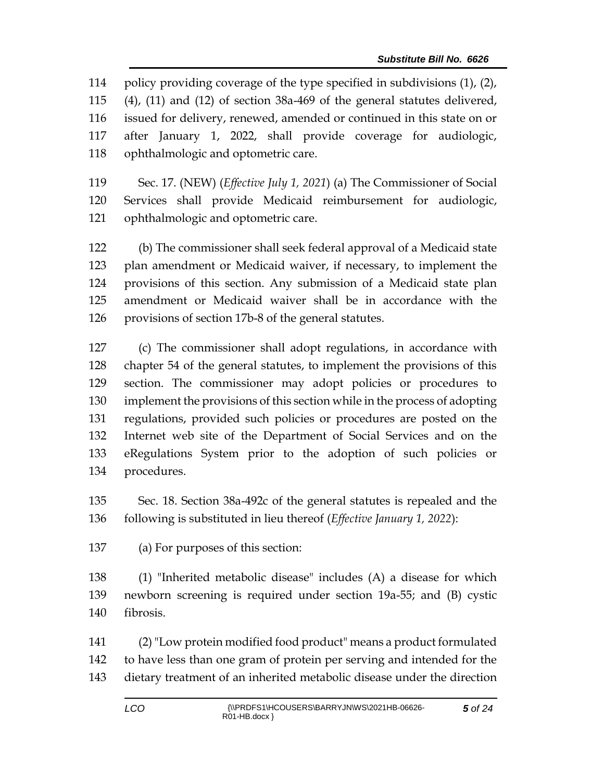policy providing coverage of the type specified in subdivisions (1), (2), (4), (11) and (12) of section 38a-469 of the general statutes delivered, issued for delivery, renewed, amended or continued in this state on or after January 1, 2022, shall provide coverage for audiologic, ophthalmologic and optometric care.

 Sec. 17. (NEW) (*Effective July 1, 2021*) (a) The Commissioner of Social Services shall provide Medicaid reimbursement for audiologic, ophthalmologic and optometric care.

 (b) The commissioner shall seek federal approval of a Medicaid state plan amendment or Medicaid waiver, if necessary, to implement the provisions of this section. Any submission of a Medicaid state plan amendment or Medicaid waiver shall be in accordance with the provisions of section 17b-8 of the general statutes.

 (c) The commissioner shall adopt regulations, in accordance with chapter 54 of the general statutes, to implement the provisions of this section. The commissioner may adopt policies or procedures to implement the provisions of this section while in the process of adopting regulations, provided such policies or procedures are posted on the Internet web site of the Department of Social Services and on the eRegulations System prior to the adoption of such policies or procedures.

 Sec. 18. Section 38a-492c of the general statutes is repealed and the following is substituted in lieu thereof (*Effective January 1, 2022*):

(a) For purposes of this section:

 (1) "Inherited metabolic disease" includes (A) a disease for which newborn screening is required under section 19a-55; and (B) cystic fibrosis.

 (2)"Low protein modified food product" means a product formulated to have less than one gram of protein per serving and intended for the dietary treatment of an inherited metabolic disease under the direction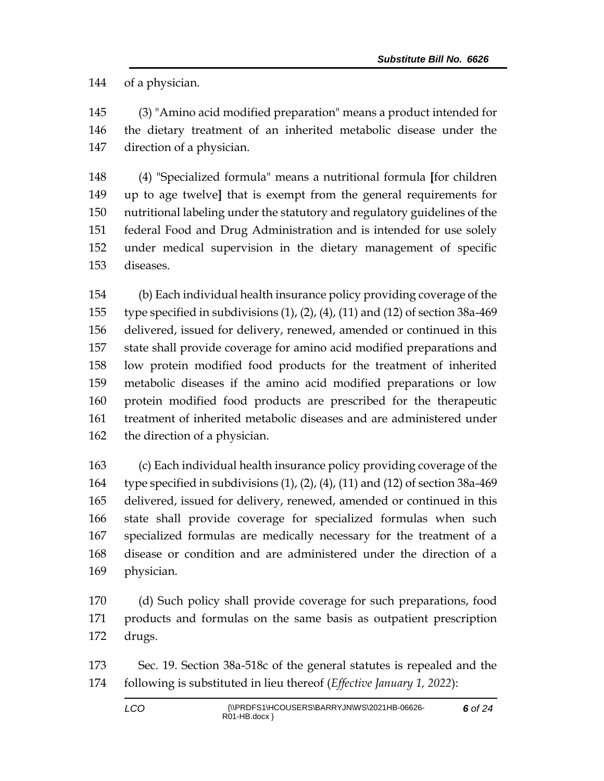of a physician.

 (3) "Amino acid modified preparation" means a product intended for the dietary treatment of an inherited metabolic disease under the direction of a physician.

 (4) "Specialized formula" means a nutritional formula **[**for children up to age twelve**]** that is exempt from the general requirements for nutritional labeling under the statutory and regulatory guidelines of the federal Food and Drug Administration and is intended for use solely under medical supervision in the dietary management of specific diseases.

 (b) Each individual health insurance policy providing coverage of the type specified in subdivisions (1), (2), (4), (11) and (12) of section 38a-469 delivered, issued for delivery, renewed, amended or continued in this state shall provide coverage for amino acid modified preparations and low protein modified food products for the treatment of inherited metabolic diseases if the amino acid modified preparations or low protein modified food products are prescribed for the therapeutic treatment of inherited metabolic diseases and are administered under the direction of a physician.

 (c) Each individual health insurance policy providing coverage of the type specified in subdivisions (1), (2), (4), (11) and (12) of section 38a-469 delivered, issued for delivery, renewed, amended or continued in this state shall provide coverage for specialized formulas when such specialized formulas are medically necessary for the treatment of a disease or condition and are administered under the direction of a physician.

 (d) Such policy shall provide coverage for such preparations, food products and formulas on the same basis as outpatient prescription drugs.

 Sec. 19. Section 38a-518c of the general statutes is repealed and the following is substituted in lieu thereof (*Effective January 1, 2022*):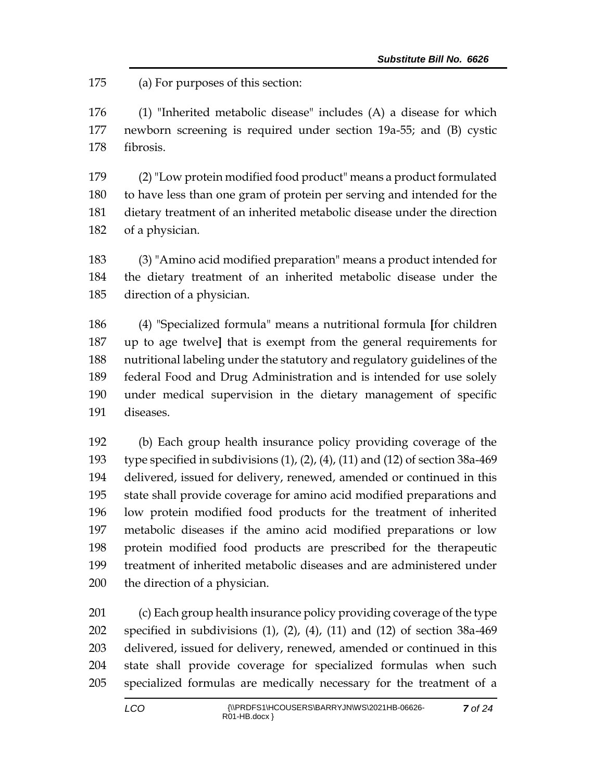(a) For purposes of this section:

 (1) "Inherited metabolic disease" includes (A) a disease for which newborn screening is required under section 19a-55; and (B) cystic fibrosis.

 (2)"Low protein modified food product" means a product formulated to have less than one gram of protein per serving and intended for the dietary treatment of an inherited metabolic disease under the direction of a physician.

 (3) "Amino acid modified preparation" means a product intended for the dietary treatment of an inherited metabolic disease under the direction of a physician.

 (4) "Specialized formula" means a nutritional formula **[**for children up to age twelve**]** that is exempt from the general requirements for nutritional labeling under the statutory and regulatory guidelines of the federal Food and Drug Administration and is intended for use solely under medical supervision in the dietary management of specific diseases.

 (b) Each group health insurance policy providing coverage of the type specified in subdivisions (1), (2), (4), (11) and (12) of section 38a-469 delivered, issued for delivery, renewed, amended or continued in this state shall provide coverage for amino acid modified preparations and low protein modified food products for the treatment of inherited metabolic diseases if the amino acid modified preparations or low protein modified food products are prescribed for the therapeutic treatment of inherited metabolic diseases and are administered under the direction of a physician.

 (c) Each group health insurance policy providing coverage of the type specified in subdivisions (1), (2), (4), (11) and (12) of section 38a-469 delivered, issued for delivery, renewed, amended or continued in this state shall provide coverage for specialized formulas when such specialized formulas are medically necessary for the treatment of a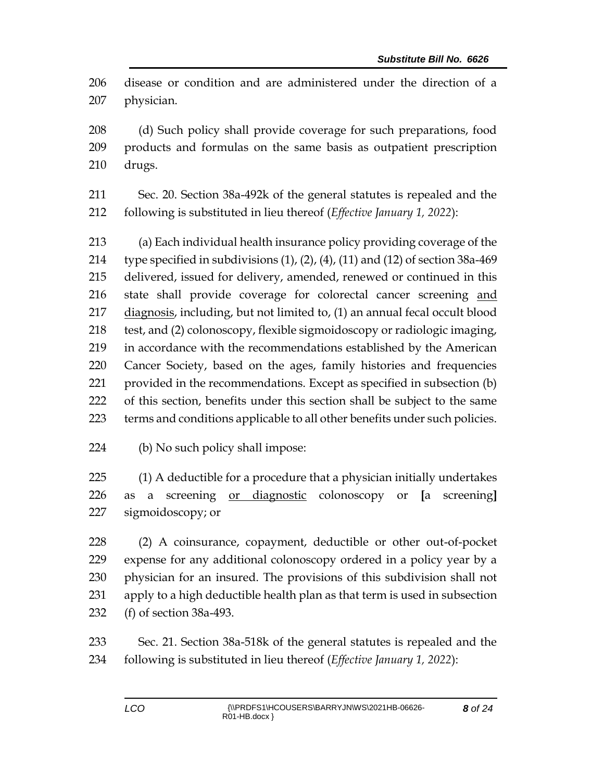disease or condition and are administered under the direction of a physician.

 (d) Such policy shall provide coverage for such preparations, food products and formulas on the same basis as outpatient prescription drugs.

 Sec. 20. Section 38a-492k of the general statutes is repealed and the following is substituted in lieu thereof (*Effective January 1, 2022*):

 (a) Each individual health insurance policy providing coverage of the 214 type specified in subdivisions  $(1)$ ,  $(2)$ ,  $(4)$ ,  $(11)$  and  $(12)$  of section 38a-469 delivered, issued for delivery, amended, renewed or continued in this state shall provide coverage for colorectal cancer screening and diagnosis, including, but not limited to, (1) an annual fecal occult blood test, and (2) colonoscopy, flexible sigmoidoscopy or radiologic imaging, in accordance with the recommendations established by the American Cancer Society, based on the ages, family histories and frequencies provided in the recommendations. Except as specified in subsection (b) of this section, benefits under this section shall be subject to the same terms and conditions applicable to all other benefits under such policies.

(b) No such policy shall impose:

 (1) A deductible for a procedure that a physician initially undertakes as a screening or diagnostic colonoscopy or **[**a screening**]** sigmoidoscopy; or

 (2) A coinsurance, copayment, deductible or other out-of-pocket expense for any additional colonoscopy ordered in a policy year by a physician for an insured. The provisions of this subdivision shall not apply to a high deductible health plan as that term is used in subsection (f) of section 38a-493.

 Sec. 21. Section 38a-518k of the general statutes is repealed and the following is substituted in lieu thereof (*Effective January 1, 2022*):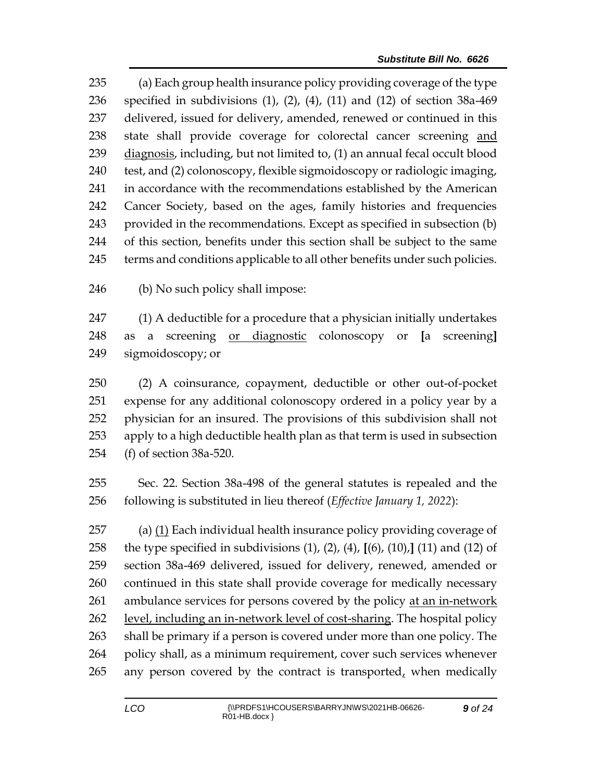(a) Each group health insurance policy providing coverage of the type specified in subdivisions (1), (2), (4), (11) and (12) of section 38a-469 delivered, issued for delivery, amended, renewed or continued in this state shall provide coverage for colorectal cancer screening and 239 diagnosis, including, but not limited to, (1) an annual fecal occult blood test, and (2) colonoscopy, flexible sigmoidoscopy or radiologic imaging, in accordance with the recommendations established by the American Cancer Society, based on the ages, family histories and frequencies provided in the recommendations. Except as specified in subsection (b) of this section, benefits under this section shall be subject to the same terms and conditions applicable to all other benefits under such policies.

(b) No such policy shall impose:

 (1) A deductible for a procedure that a physician initially undertakes as a screening or diagnostic colonoscopy or **[**a screening**]** sigmoidoscopy; or

 (2) A coinsurance, copayment, deductible or other out-of-pocket expense for any additional colonoscopy ordered in a policy year by a physician for an insured. The provisions of this subdivision shall not apply to a high deductible health plan as that term is used in subsection (f) of section 38a-520.

 Sec. 22. Section 38a-498 of the general statutes is repealed and the following is substituted in lieu thereof (*Effective January 1, 2022*):

 (a) (1) Each individual health insurance policy providing coverage of the type specified in subdivisions (1), (2), (4), **[**(6), (10),**]** (11) and (12) of section 38a-469 delivered, issued for delivery, renewed, amended or continued in this state shall provide coverage for medically necessary ambulance services for persons covered by the policy at an in-network level, including an in-network level of cost-sharing. The hospital policy shall be primary if a person is covered under more than one policy. The policy shall, as a minimum requirement, cover such services whenever 265 any person covered by the contract is transported, when medically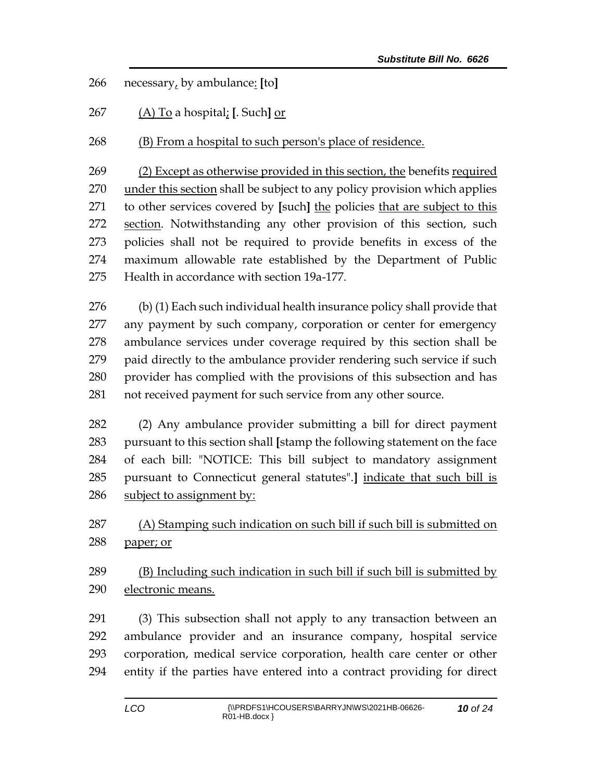necessary, by ambulance: **[**to**]**

(A) To a hospital; **[**. Such**]** or

(B) From a hospital to such person's place of residence.

 (2) Except as otherwise provided in this section, the benefits required 270 under this section shall be subject to any policy provision which applies to other services covered by **[**such**]** the policies that are subject to this section. Notwithstanding any other provision of this section, such policies shall not be required to provide benefits in excess of the maximum allowable rate established by the Department of Public Health in accordance with section 19a-177.

 (b) (1) Each such individual health insurance policy shall provide that any payment by such company, corporation or center for emergency ambulance services under coverage required by this section shall be paid directly to the ambulance provider rendering such service if such provider has complied with the provisions of this subsection and has not received payment for such service from any other source.

 (2) Any ambulance provider submitting a bill for direct payment pursuant to this section shall **[**stamp the following statement on the face of each bill: "NOTICE: This bill subject to mandatory assignment pursuant to Connecticut general statutes".**]** indicate that such bill is subject to assignment by:

 (A) Stamping such indication on such bill if such bill is submitted on paper; or

 (B) Including such indication in such bill if such bill is submitted by electronic means.

 (3) This subsection shall not apply to any transaction between an ambulance provider and an insurance company, hospital service corporation, medical service corporation, health care center or other entity if the parties have entered into a contract providing for direct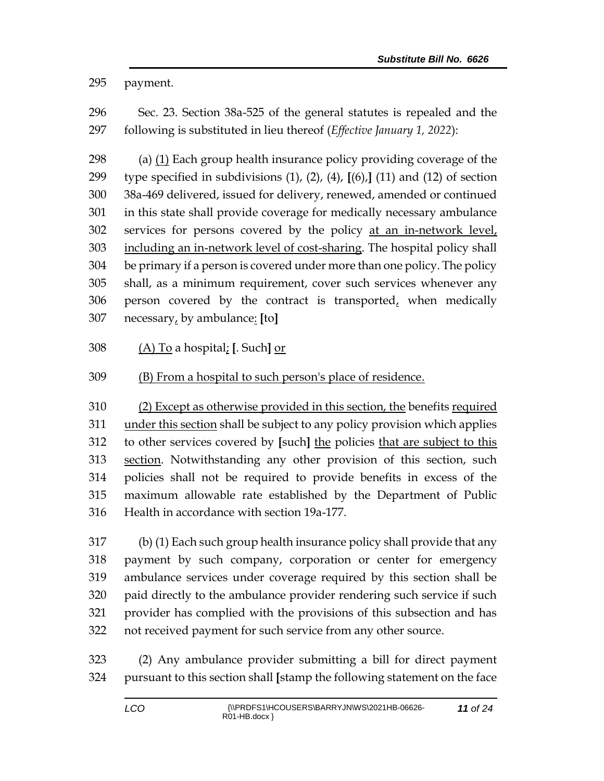payment.

 Sec. 23. Section 38a-525 of the general statutes is repealed and the following is substituted in lieu thereof (*Effective January 1, 2022*):

 (a) (1) Each group health insurance policy providing coverage of the type specified in subdivisions (1), (2), (4), **[**(6),**]** (11) and (12) of section 38a-469 delivered, issued for delivery, renewed, amended or continued in this state shall provide coverage for medically necessary ambulance services for persons covered by the policy at an in-network level, 303 including an in-network level of cost-sharing. The hospital policy shall be primary if a person is covered under more than one policy. The policy shall, as a minimum requirement, cover such services whenever any 306 person covered by the contract is transported $<sub>t</sub>$  when medically</sub> necessary, by ambulance: **[**to**]**

(A) To a hospital; **[**. Such**]** or

## (B) From a hospital to such person's place of residence.

 (2) Except as otherwise provided in this section, the benefits required under this section shall be subject to any policy provision which applies to other services covered by **[**such**]** the policies that are subject to this section. Notwithstanding any other provision of this section, such policies shall not be required to provide benefits in excess of the maximum allowable rate established by the Department of Public Health in accordance with section 19a-177.

 (b) (1) Each such group health insurance policy shall provide that any payment by such company, corporation or center for emergency ambulance services under coverage required by this section shall be paid directly to the ambulance provider rendering such service if such provider has complied with the provisions of this subsection and has not received payment for such service from any other source.

 (2) Any ambulance provider submitting a bill for direct payment pursuant to this section shall **[**stamp the following statement on the face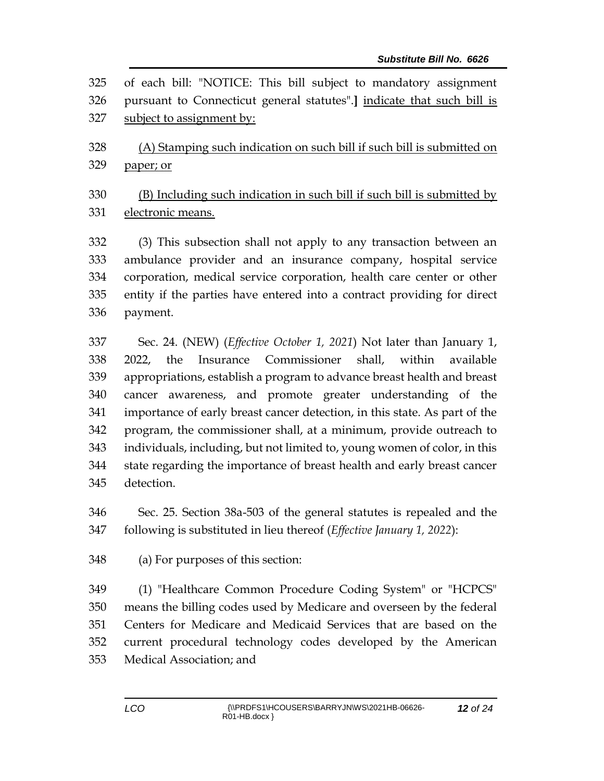| 325 | of each bill: "NOTICE: This bill subject to mandatory assignment              |
|-----|-------------------------------------------------------------------------------|
| 326 | pursuant to Connecticut general statutes".] indicate that such bill is        |
| 327 | subject to assignment by:                                                     |
| 328 | (A) Stamping such indication on such bill if such bill is submitted on        |
| 329 | paper; or                                                                     |
| 330 | (B) Including such indication in such bill if such bill is submitted by       |
| 331 | electronic means.                                                             |
| 332 | (3) This subsection shall not apply to any transaction between an             |
| 333 | ambulance provider and an insurance company, hospital service                 |
| 334 | corporation, medical service corporation, health care center or other         |
| 335 | entity if the parties have entered into a contract providing for direct       |
| 336 | payment.                                                                      |
| 337 | Sec. 24. (NEW) ( <i>Effective October 1</i> , 2021) Not later than January 1, |
| 338 | Insurance Commissioner shall, within available<br>the<br>2022,                |
| 339 | appropriations, establish a program to advance breast health and breast       |
| 340 | cancer awareness, and promote greater understanding of the                    |
| 341 | importance of early breast cancer detection, in this state. As part of the    |
| 342 | program, the commissioner shall, at a minimum, provide outreach to            |
| 343 | individuals, including, but not limited to, young women of color, in this     |
| 344 | state regarding the importance of breast health and early breast cancer       |
| 345 | detection.                                                                    |
| 346 | Sec. 25. Section 38a-503 of the general statutes is repealed and the          |
| 347 | following is substituted in lieu thereof (Effective January 1, 2022):         |
| 348 | (a) For purposes of this section:                                             |
| 349 | (1) "Healthcare Common Procedure Coding System" or "HCPCS"                    |
| 350 | means the billing codes used by Medicare and overseen by the federal          |
| 351 | Centers for Medicare and Medicaid Services that are based on the              |
| 352 | current procedural technology codes developed by the American                 |

Medical Association; and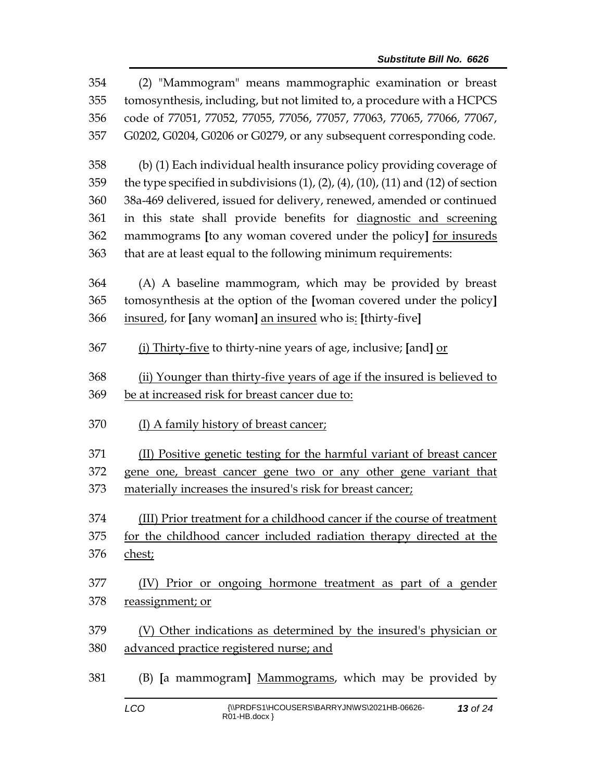| 354 | (2) "Mammogram" means mammographic examination or breast                                         |  |  |
|-----|--------------------------------------------------------------------------------------------------|--|--|
| 355 | tomosynthesis, including, but not limited to, a procedure with a HCPCS                           |  |  |
| 356 | code of 77051, 77052, 77055, 77056, 77057, 77063, 77065, 77066, 77067,                           |  |  |
| 357 | G0202, G0204, G0206 or G0279, or any subsequent corresponding code.                              |  |  |
| 358 | (b) (1) Each individual health insurance policy providing coverage of                            |  |  |
| 359 | the type specified in subdivisions $(1)$ , $(2)$ , $(4)$ , $(10)$ , $(11)$ and $(12)$ of section |  |  |
| 360 | 38a-469 delivered, issued for delivery, renewed, amended or continued                            |  |  |
| 361 | in this state shall provide benefits for diagnostic and screening                                |  |  |
| 362 | mammograms [to any woman covered under the policy] for insureds                                  |  |  |
| 363 | that are at least equal to the following minimum requirements:                                   |  |  |
| 364 | (A) A baseline mammogram, which may be provided by breast                                        |  |  |
| 365 | tomosynthesis at the option of the [woman covered under the policy]                              |  |  |
| 366 | insured, for [any woman] an insured who is: [thirty-five]                                        |  |  |
| 367 | (i) Thirty-five to thirty-nine years of age, inclusive; [and] or                                 |  |  |
| 368 | (ii) Younger than thirty-five years of age if the insured is believed to                         |  |  |
|     |                                                                                                  |  |  |
| 369 | be at increased risk for breast cancer due to:                                                   |  |  |
| 370 | (I) A family history of breast cancer;                                                           |  |  |
| 371 | (II) Positive genetic testing for the harmful variant of breast cancer                           |  |  |
| 372 | gene one, breast cancer gene two or any other gene variant that                                  |  |  |
| 373 | materially increases the insured's risk for breast cancer;                                       |  |  |
| 374 | (III) Prior treatment for a childhood cancer if the course of treatment                          |  |  |
| 375 | for the childhood cancer included radiation therapy directed at the                              |  |  |
| 376 | chest;                                                                                           |  |  |
| 377 | (IV) Prior or ongoing hormone treatment as part of a gender                                      |  |  |
| 378 | reassignment; or                                                                                 |  |  |
| 379 | (V) Other indications as determined by the insured's physician or                                |  |  |
| 380 | advanced practice registered nurse; and                                                          |  |  |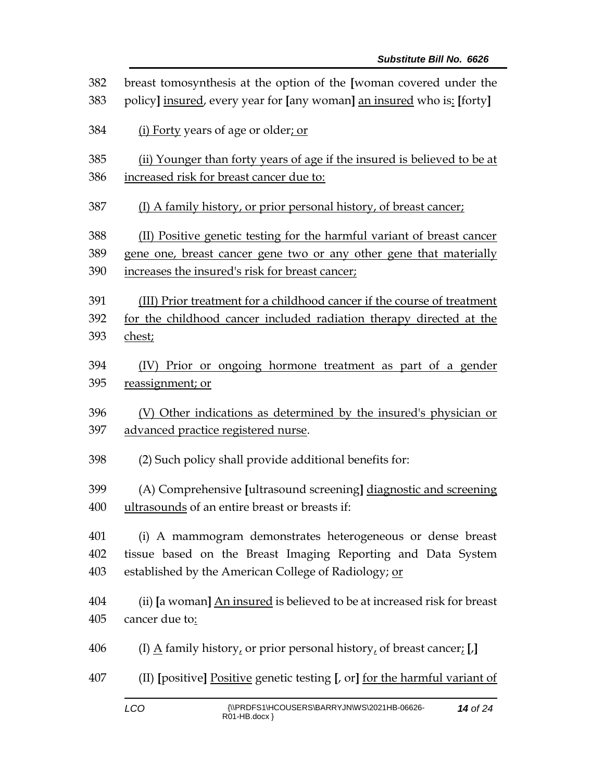| 382 | breast tomosynthesis at the option of the [woman covered under the                   |  |
|-----|--------------------------------------------------------------------------------------|--|
| 383 | policy] insured, every year for [any woman] an insured who is: [forty]               |  |
| 384 | (i) Forty years of age or older; or                                                  |  |
| 385 | (ii) Younger than forty years of age if the insured is believed to be at             |  |
| 386 | increased risk for breast cancer due to:                                             |  |
| 387 | (I) A family history, or prior personal history, of breast cancer;                   |  |
| 388 | (II) Positive genetic testing for the harmful variant of breast cancer               |  |
| 389 | gene one, breast cancer gene two or any other gene that materially                   |  |
| 390 | increases the insured's risk for breast cancer;                                      |  |
| 391 | (III) Prior treatment for a childhood cancer if the course of treatment              |  |
| 392 | for the childhood cancer included radiation therapy directed at the                  |  |
| 393 | chest;                                                                               |  |
| 394 | (IV) Prior or ongoing hormone treatment as part of a gender                          |  |
| 395 | reassignment; or                                                                     |  |
| 396 | (V) Other indications as determined by the insured's physician or                    |  |
| 397 | advanced practice registered nurse.                                                  |  |
| 398 | (2) Such policy shall provide additional benefits for:                               |  |
| 399 | (A) Comprehensive [ultrasound screening] diagnostic and screening                    |  |
| 400 | ultrasounds of an entire breast or breasts if:                                       |  |
| 401 | (i) A mammogram demonstrates heterogeneous or dense breast                           |  |
| 402 | tissue based on the Breast Imaging Reporting and Data System                         |  |
| 403 | established by the American College of Radiology; or                                 |  |
| 404 | (ii) [a woman] An insured is believed to be at increased risk for breast             |  |
| 405 | cancer due to:                                                                       |  |
| 406 | (I) $\underline{A}$ family history, or prior personal history, of breast cancer; [J] |  |
| 407 | (II) [positive] Positive genetic testing [, or] for the harmful variant of           |  |
|     | $\left( \left\{ \right\} \right)$                                                    |  |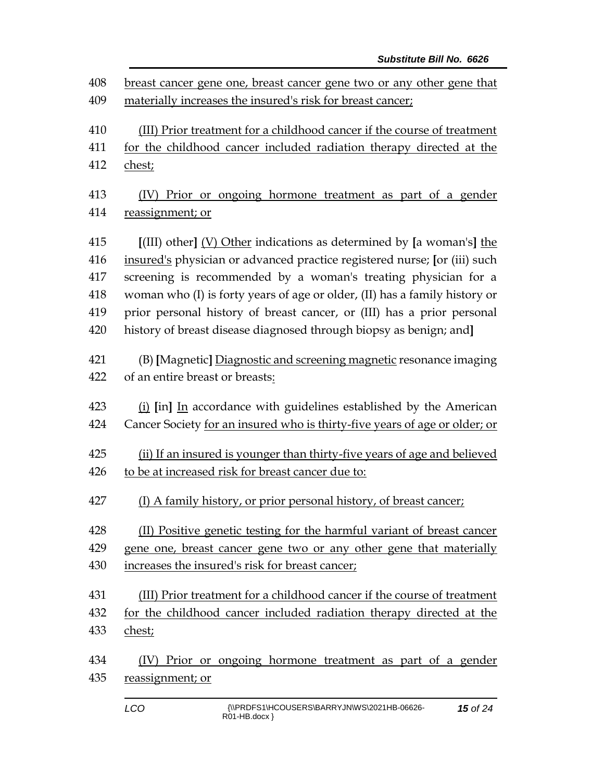| breast cancer gene one, breast cancer gene two or any other gene that      |  |  |
|----------------------------------------------------------------------------|--|--|
| materially increases the insured's risk for breast cancer;                 |  |  |
| (III) Prior treatment for a childhood cancer if the course of treatment    |  |  |
| for the childhood cancer included radiation therapy directed at the        |  |  |
| chest;                                                                     |  |  |
| (IV) Prior or ongoing hormone treatment as part of a gender                |  |  |
| reassignment; or                                                           |  |  |
| $[$ (III) other] $(V)$ Other indications as determined by [a woman's] the  |  |  |
| insured's physician or advanced practice registered nurse; [or (iii) such  |  |  |
| screening is recommended by a woman's treating physician for a             |  |  |
| woman who (I) is forty years of age or older, (II) has a family history or |  |  |
| prior personal history of breast cancer, or (III) has a prior personal     |  |  |
| history of breast disease diagnosed through biopsy as benign; and]         |  |  |
| (B) [Magnetic] Diagnostic and screening magnetic resonance imaging         |  |  |
| of an entire breast or breasts:                                            |  |  |
| (i) [in] In accordance with guidelines established by the American         |  |  |
| Cancer Society for an insured who is thirty-five years of age or older; or |  |  |
| (ii) If an insured is younger than thirty-five years of age and believed   |  |  |
| to be at increased risk for breast cancer due to:                          |  |  |
| (I) A family history, or prior personal history, of breast cancer;         |  |  |
| (II) Positive genetic testing for the harmful variant of breast cancer     |  |  |
| gene one, breast cancer gene two or any other gene that materially         |  |  |
| increases the insured's risk for breast cancer;                            |  |  |
| (III) Prior treatment for a childhood cancer if the course of treatment    |  |  |
| for the childhood cancer included radiation therapy directed at the        |  |  |
| chest;                                                                     |  |  |
| (IV) Prior or ongoing hormone treatment as part of a gender                |  |  |
| reassignment; or                                                           |  |  |
|                                                                            |  |  |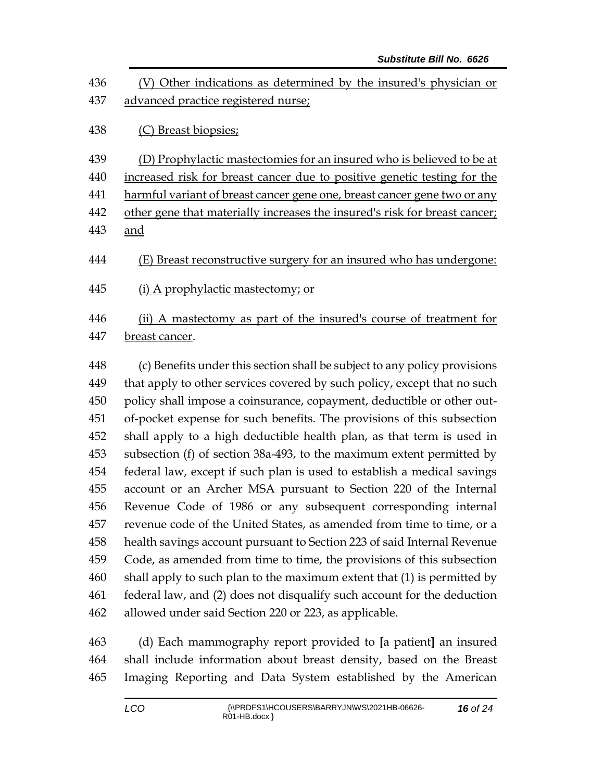| 436<br>437 | (V) Other indications as determined by the insured's physician or<br>advanced practice registered nurse; |
|------------|----------------------------------------------------------------------------------------------------------|
| 438        | (C) Breast biopsies;                                                                                     |
| 439        | (D) Prophylactic mastectomies for an insured who is believed to be at                                    |
| 440        | increased risk for breast cancer due to positive genetic testing for the                                 |
| 441        | harmful variant of breast cancer gene one, breast cancer gene two or any                                 |
| 442        | other gene that materially increases the insured's risk for breast cancer;                               |
| 443        | and                                                                                                      |
| 444        | (E) Breast reconstructive surgery for an insured who has undergone:                                      |
| 445        | (i) A prophylactic mastectomy; or                                                                        |
| 446<br>447 | (ii) A mastectomy as part of the insured's course of treatment for<br>breast cancer.                     |

 (c) Benefits under this section shall be subject to any policy provisions 449 that apply to other services covered by such policy, except that no such policy shall impose a coinsurance, copayment, deductible or other out- of-pocket expense for such benefits. The provisions of this subsection shall apply to a high deductible health plan, as that term is used in subsection (f) of section 38a-493, to the maximum extent permitted by federal law, except if such plan is used to establish a medical savings account or an Archer MSA pursuant to Section 220 of the Internal Revenue Code of 1986 or any subsequent corresponding internal revenue code of the United States, as amended from time to time, or a health savings account pursuant to Section 223 of said Internal Revenue Code, as amended from time to time, the provisions of this subsection shall apply to such plan to the maximum extent that (1) is permitted by federal law, and (2) does not disqualify such account for the deduction allowed under said Section 220 or 223, as applicable.

 (d) Each mammography report provided to **[**a patient**]** an insured shall include information about breast density, based on the Breast Imaging Reporting and Data System established by the American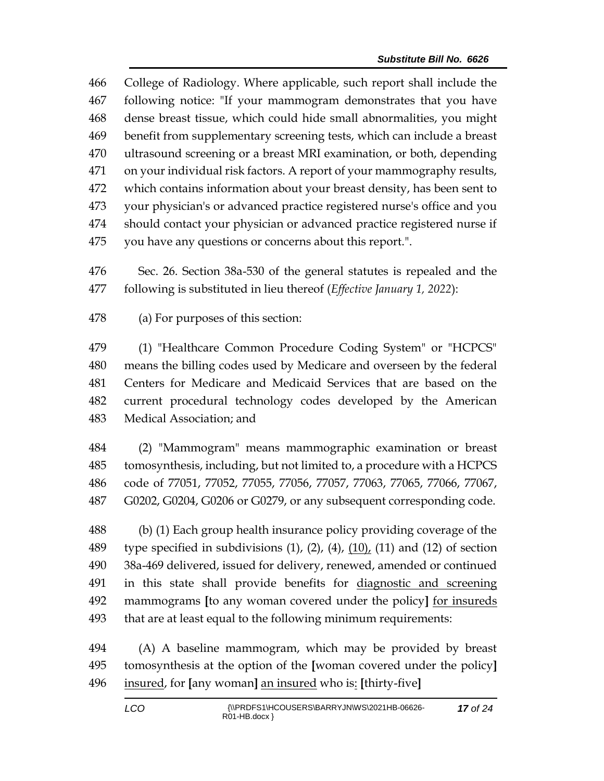College of Radiology. Where applicable, such report shall include the following notice: "If your mammogram demonstrates that you have dense breast tissue, which could hide small abnormalities, you might benefit from supplementary screening tests, which can include a breast ultrasound screening or a breast MRI examination, or both, depending on your individual risk factors. A report of your mammography results, which contains information about your breast density, has been sent to your physician's or advanced practice registered nurse's office and you should contact your physician or advanced practice registered nurse if you have any questions or concerns about this report.".

 Sec. 26. Section 38a-530 of the general statutes is repealed and the following is substituted in lieu thereof (*Effective January 1, 2022*):

(a) For purposes of this section:

 (1) "Healthcare Common Procedure Coding System" or "HCPCS" means the billing codes used by Medicare and overseen by the federal Centers for Medicare and Medicaid Services that are based on the current procedural technology codes developed by the American Medical Association; and

 (2) "Mammogram" means mammographic examination or breast tomosynthesis, including, but not limited to, a procedure with a HCPCS code of 77051, 77052, 77055, 77056, 77057, 77063, 77065, 77066, 77067, G0202, G0204, G0206 or G0279, or any subsequent corresponding code.

 (b) (1) Each group health insurance policy providing coverage of the 489 type specified in subdivisions  $(1)$ ,  $(2)$ ,  $(4)$ ,  $(10)$ ,  $(11)$  and  $(12)$  of section 38a-469 delivered, issued for delivery, renewed, amended or continued in this state shall provide benefits for diagnostic and screening mammograms **[**to any woman covered under the policy**]** for insureds that are at least equal to the following minimum requirements:

 (A) A baseline mammogram, which may be provided by breast tomosynthesis at the option of the **[**woman covered under the policy**]** insured, for **[**any woman**]** an insured who is: **[**thirty-five**]**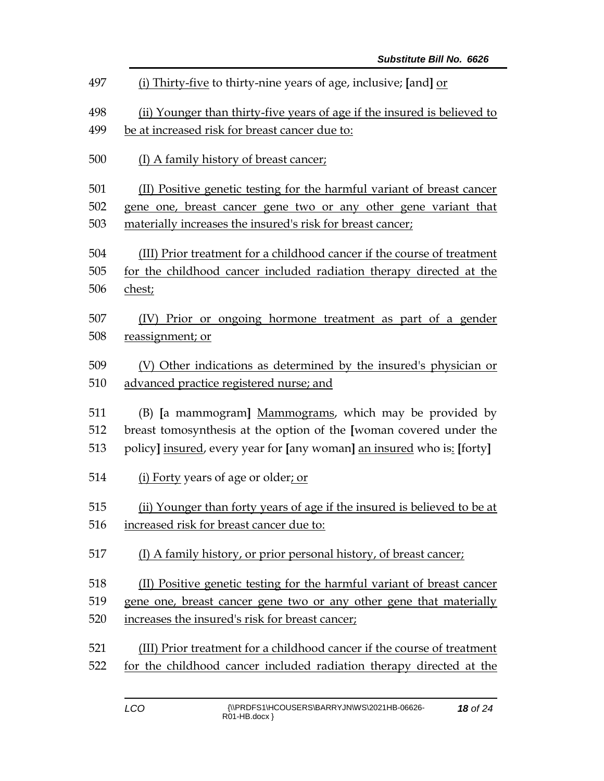| 497 | (i) Thirty-five to thirty-nine years of age, inclusive; [and] or         |  |  |
|-----|--------------------------------------------------------------------------|--|--|
| 498 | (ii) Younger than thirty-five years of age if the insured is believed to |  |  |
| 499 | be at increased risk for breast cancer due to:                           |  |  |
| 500 | (I) A family history of breast cancer;                                   |  |  |
| 501 | (II) Positive genetic testing for the harmful variant of breast cancer   |  |  |
| 502 | gene one, breast cancer gene two or any other gene variant that          |  |  |
| 503 | materially increases the insured's risk for breast cancer;               |  |  |
| 504 | (III) Prior treatment for a childhood cancer if the course of treatment  |  |  |
| 505 | for the childhood cancer included radiation therapy directed at the      |  |  |
| 506 | chest;                                                                   |  |  |
| 507 | (IV) Prior or ongoing hormone treatment as part of a gender              |  |  |
| 508 | reassignment; or                                                         |  |  |
| 509 | (V) Other indications as determined by the insured's physician or        |  |  |
| 510 | advanced practice registered nurse; and                                  |  |  |
| 511 | (B) [a mammogram] Mammograms, which may be provided by                   |  |  |
| 512 | breast tomosynthesis at the option of the [woman covered under the       |  |  |
| 513 | policy] insured, every year for [any woman] an insured who is: [forty]   |  |  |
| 514 | (i) Forty years of age or older; or                                      |  |  |
| 515 | (ii) Younger than forty years of age if the insured is believed to be at |  |  |
| 516 | increased risk for breast cancer due to:                                 |  |  |
| 517 | (I) A family history, or prior personal history, of breast cancer;       |  |  |
| 518 | (II) Positive genetic testing for the harmful variant of breast cancer   |  |  |
| 519 | gene one, breast cancer gene two or any other gene that materially       |  |  |
| 520 | increases the insured's risk for breast cancer;                          |  |  |
| 521 | (III) Prior treatment for a childhood cancer if the course of treatment  |  |  |
| 522 | for the childhood cancer included radiation therapy directed at the      |  |  |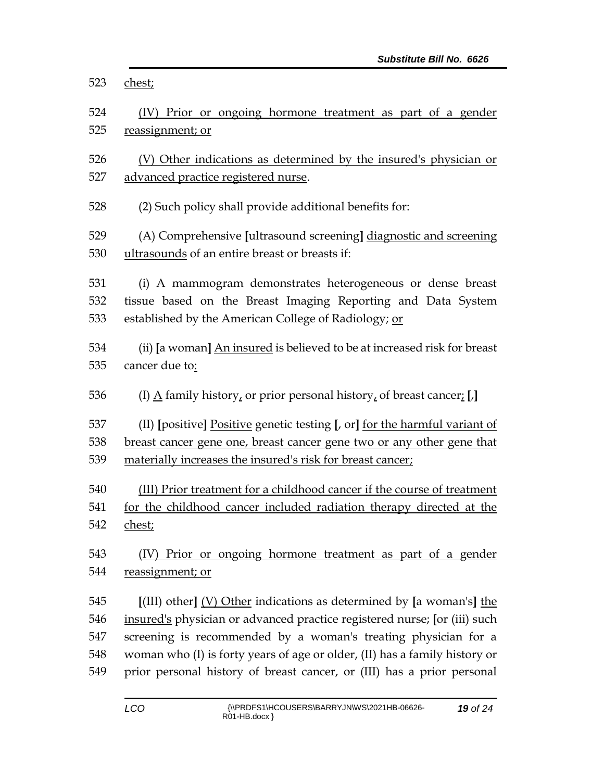| 523        | chest;                                                                                                                                                     |  |  |
|------------|------------------------------------------------------------------------------------------------------------------------------------------------------------|--|--|
| 524        | (IV) Prior or ongoing hormone treatment as part of a gender                                                                                                |  |  |
| 525        | reassignment; or                                                                                                                                           |  |  |
|            |                                                                                                                                                            |  |  |
| 526        | (V) Other indications as determined by the insured's physician or                                                                                          |  |  |
| 527        | advanced practice registered nurse.                                                                                                                        |  |  |
| 528        | (2) Such policy shall provide additional benefits for:                                                                                                     |  |  |
| 529        | (A) Comprehensive [ultrasound screening] diagnostic and screening                                                                                          |  |  |
| 530        | ultrasounds of an entire breast or breasts if:                                                                                                             |  |  |
|            |                                                                                                                                                            |  |  |
| 531        | (i) A mammogram demonstrates heterogeneous or dense breast                                                                                                 |  |  |
| 532        | tissue based on the Breast Imaging Reporting and Data System                                                                                               |  |  |
| 533        | established by the American College of Radiology; or                                                                                                       |  |  |
| 534        | (ii) [a woman] An insured is believed to be at increased risk for breast                                                                                   |  |  |
| 535        | cancer due to:                                                                                                                                             |  |  |
|            |                                                                                                                                                            |  |  |
| 536        | (I) $\underline{A}$ family history, or prior personal history, of breast cancer; [J]                                                                       |  |  |
| 537        |                                                                                                                                                            |  |  |
| 538        | (II) [positive] Positive genetic testing [, or] for the harmful variant of<br><u>breast cancer gene one, breast cancer gene two or any other gene that</u> |  |  |
| 539        | materially increases the insured's risk for breast cancer;                                                                                                 |  |  |
|            |                                                                                                                                                            |  |  |
| 540        | (III) Prior treatment for a childhood cancer if the course of treatment                                                                                    |  |  |
| 541        | for the childhood cancer included radiation therapy directed at the                                                                                        |  |  |
| 542        | chest;                                                                                                                                                     |  |  |
| 543        | Prior or ongoing hormone treatment as part of a gender<br>(IV)                                                                                             |  |  |
| 544        | reassignment; or                                                                                                                                           |  |  |
|            |                                                                                                                                                            |  |  |
| 545        | $[III]$ other] (V) Other indications as determined by [a woman's] the                                                                                      |  |  |
| 546        | insured's physician or advanced practice registered nurse; [or (iii) such                                                                                  |  |  |
| 547        | screening is recommended by a woman's treating physician for a                                                                                             |  |  |
| 548<br>549 | woman who (I) is forty years of age or older, (II) has a family history or<br>prior personal history of breast cancer, or (III) has a prior personal       |  |  |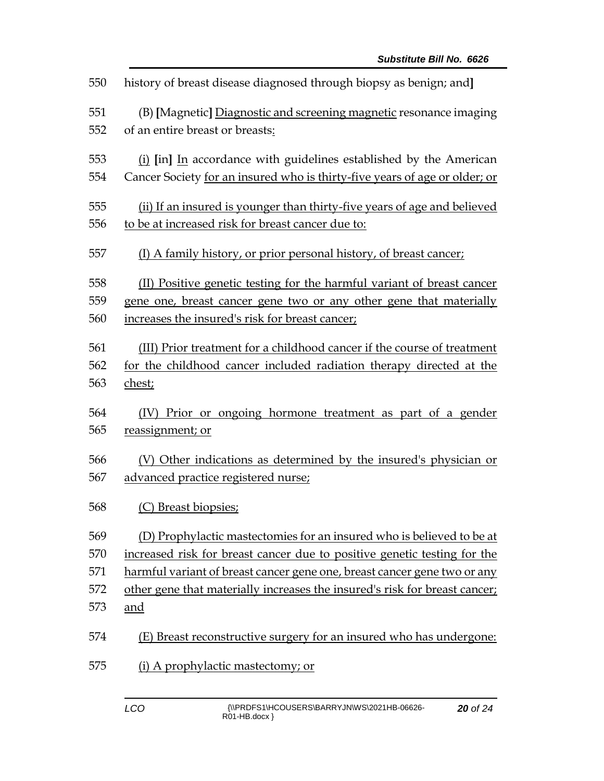| 550 | history of breast disease diagnosed through biopsy as benign; and          |
|-----|----------------------------------------------------------------------------|
| 551 | (B) [Magnetic] Diagnostic and screening magnetic resonance imaging         |
| 552 | of an entire breast or breasts:                                            |
| 553 | (i) [in] In accordance with guidelines established by the American         |
| 554 | Cancer Society for an insured who is thirty-five years of age or older; or |
| 555 | (ii) If an insured is younger than thirty-five years of age and believed   |
| 556 | to be at increased risk for breast cancer due to:                          |
| 557 | (I) A family history, or prior personal history, of breast cancer;         |
| 558 | (II) Positive genetic testing for the harmful variant of breast cancer     |
| 559 | gene one, breast cancer gene two or any other gene that materially         |
| 560 | increases the insured's risk for breast cancer;                            |
| 561 | (III) Prior treatment for a childhood cancer if the course of treatment    |
| 562 | for the childhood cancer included radiation therapy directed at the        |
| 563 | chest;                                                                     |
| 564 | (IV) Prior or ongoing hormone treatment as part of a gender                |
| 565 | reassignment; or                                                           |
| 566 | (V) Other indications as determined by the insured's physician or          |
| 567 | advanced practice registered nurse;                                        |
| 568 | (C) Breast biopsies;                                                       |
| 569 | (D) Prophylactic mastectomies for an insured who is believed to be at      |
| 570 | increased risk for breast cancer due to positive genetic testing for the   |
| 571 | harmful variant of breast cancer gene one, breast cancer gene two or any   |
| 572 | other gene that materially increases the insured's risk for breast cancer; |
| 573 | and                                                                        |
| 574 | (E) Breast reconstructive surgery for an insured who has undergone:        |
| 575 | (i) A prophylactic mastectomy; or                                          |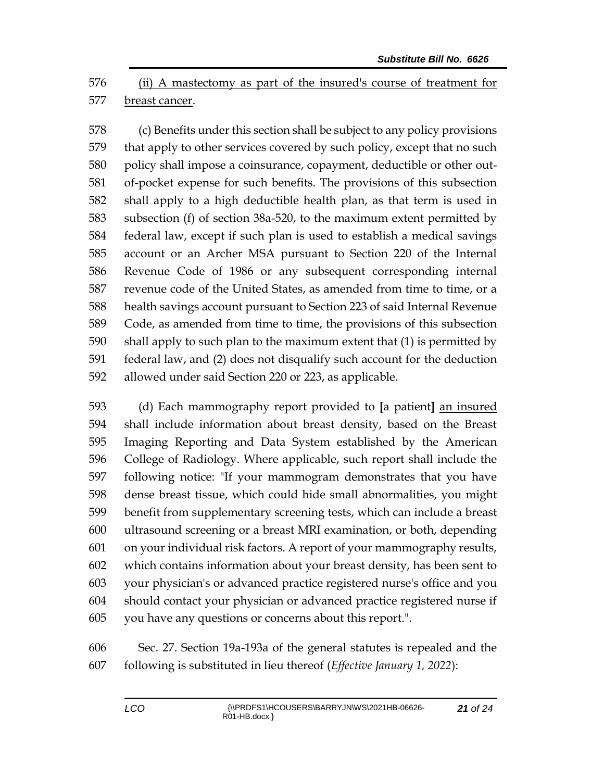(ii) A mastectomy as part of the insured's course of treatment for breast cancer.

 (c) Benefits under this section shall be subject to any policy provisions that apply to other services covered by such policy, except that no such policy shall impose a coinsurance, copayment, deductible or other out- of-pocket expense for such benefits. The provisions of this subsection shall apply to a high deductible health plan, as that term is used in subsection (f) of section 38a-520, to the maximum extent permitted by federal law, except if such plan is used to establish a medical savings account or an Archer MSA pursuant to Section 220 of the Internal Revenue Code of 1986 or any subsequent corresponding internal revenue code of the United States, as amended from time to time, or a health savings account pursuant to Section 223 of said Internal Revenue Code, as amended from time to time, the provisions of this subsection shall apply to such plan to the maximum extent that (1) is permitted by federal law, and (2) does not disqualify such account for the deduction allowed under said Section 220 or 223, as applicable.

 (d) Each mammography report provided to **[**a patient**]** an insured shall include information about breast density, based on the Breast Imaging Reporting and Data System established by the American College of Radiology. Where applicable, such report shall include the following notice: "If your mammogram demonstrates that you have dense breast tissue, which could hide small abnormalities, you might benefit from supplementary screening tests, which can include a breast ultrasound screening or a breast MRI examination, or both, depending on your individual risk factors. A report of your mammography results, which contains information about your breast density, has been sent to your physician's or advanced practice registered nurse's office and you should contact your physician or advanced practice registered nurse if you have any questions or concerns about this report.".

 Sec. 27. Section 19a-193a of the general statutes is repealed and the following is substituted in lieu thereof (*Effective January 1, 2022*):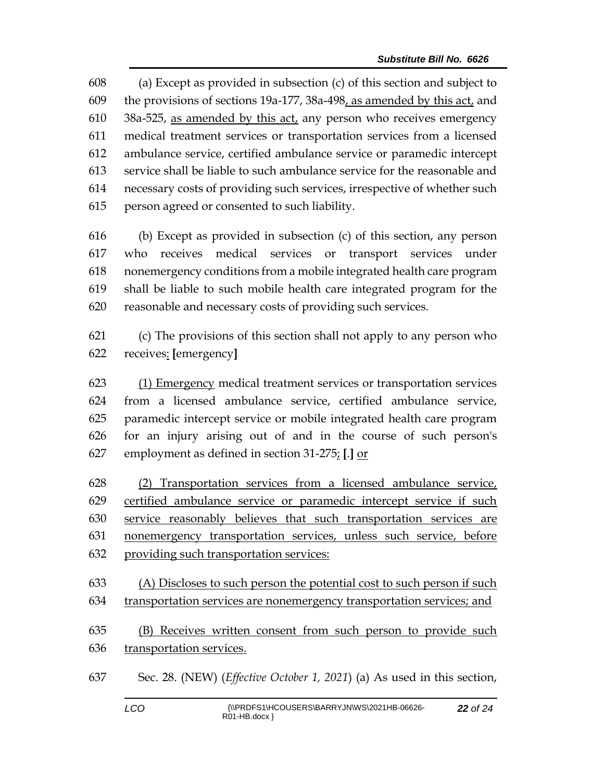(a) Except as provided in subsection (c) of this section and subject to the provisions of sections 19a-177, 38a-498, as amended by this act, and  $38a-525$ , as amended by this act, any person who receives emergency medical treatment services or transportation services from a licensed ambulance service, certified ambulance service or paramedic intercept service shall be liable to such ambulance service for the reasonable and necessary costs of providing such services, irrespective of whether such person agreed or consented to such liability.

 (b) Except as provided in subsection (c) of this section, any person who receives medical services or transport services under nonemergency conditions from a mobile integrated health care program shall be liable to such mobile health care integrated program for the reasonable and necessary costs of providing such services.

 (c) The provisions of this section shall not apply to any person who receives: **[**emergency**]**

 (1) Emergency medical treatment services or transportation services from a licensed ambulance service, certified ambulance service, paramedic intercept service or mobile integrated health care program for an injury arising out of and in the course of such person's employment as defined in section 31-275; **[**.**]** or

 (2) Transportation services from a licensed ambulance service, certified ambulance service or paramedic intercept service if such service reasonably believes that such transportation services are nonemergency transportation services, unless such service, before providing such transportation services:

 (A) Discloses to such person the potential cost to such person if such transportation services are nonemergency transportation services; and

 (B) Receives written consent from such person to provide such transportation services.

Sec. 28. (NEW) (*Effective October 1, 2021*) (a) As used in this section,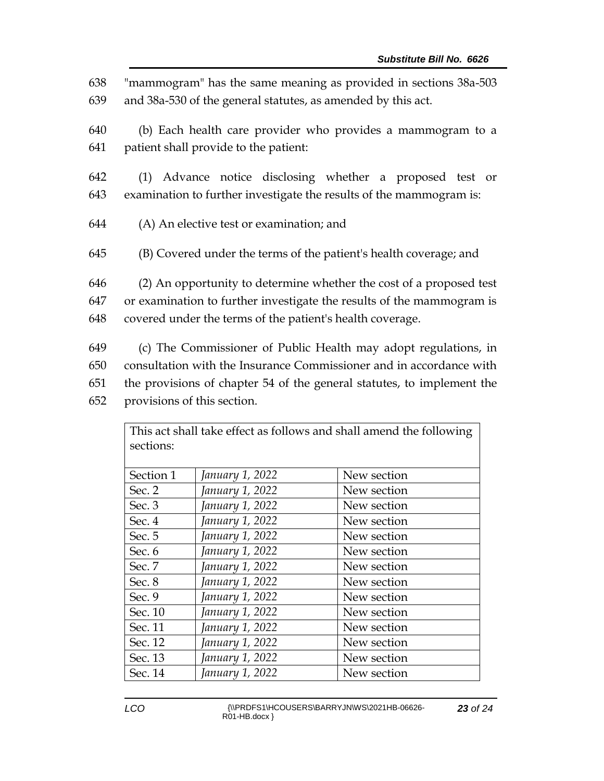"mammogram" has the same meaning as provided in sections 38a-503 and 38a-530 of the general statutes, as amended by this act. (b) Each health care provider who provides a mammogram to a patient shall provide to the patient: (1) Advance notice disclosing whether a proposed test or examination to further investigate the results of the mammogram is: (A) An elective test or examination; and (B) Covered under the terms of the patient's health coverage; and (2) An opportunity to determine whether the cost of a proposed test or examination to further investigate the results of the mammogram is covered under the terms of the patient's health coverage. (c) The Commissioner of Public Health may adopt regulations, in consultation with the Insurance Commissioner and in accordance with the provisions of chapter 54 of the general statutes, to implement the

652 provisions of this section.

| This act shall take effect as follows and shall amend the following |                 |             |
|---------------------------------------------------------------------|-----------------|-------------|
| sections:                                                           |                 |             |
|                                                                     |                 |             |
| Section 1                                                           | January 1, 2022 | New section |
| Sec. 2                                                              | January 1, 2022 | New section |
| Sec. 3                                                              | January 1, 2022 | New section |
| Sec. 4                                                              | January 1, 2022 | New section |
| Sec. 5                                                              | January 1, 2022 | New section |
| Sec. 6                                                              | January 1, 2022 | New section |
| Sec. 7                                                              | January 1, 2022 | New section |
| Sec. 8                                                              | January 1, 2022 | New section |
| Sec. 9                                                              | January 1, 2022 | New section |
| Sec. 10                                                             | January 1, 2022 | New section |
| Sec. 11                                                             | January 1, 2022 | New section |
| Sec. 12                                                             | January 1, 2022 | New section |
| Sec. 13                                                             | January 1, 2022 | New section |
| Sec. 14                                                             | January 1, 2022 | New section |